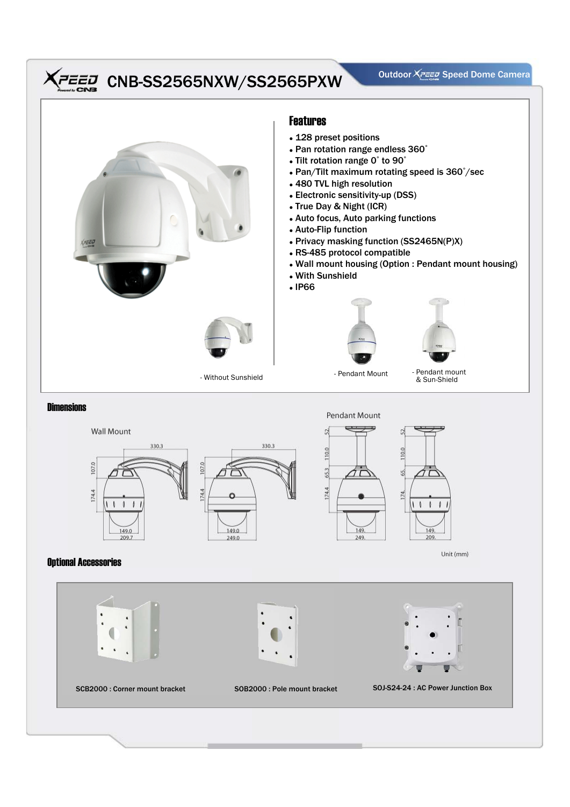## CNB-SS2565NXW/SS2565PXW Outdoor XPEED Speed Dome Camera





## Optional Accessories

174.4







Unit (mm)